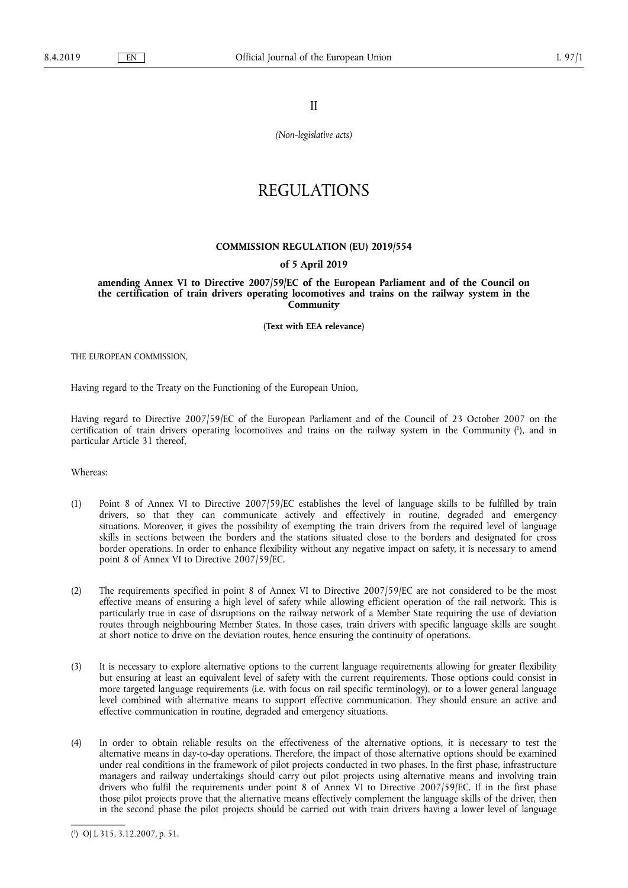II

*(Non-legislative acts)* 

# REGULATIONS

# **COMMISSION REGULATION (EU) 2019/554**

# **of 5 April 2019**

**amending Annex VI to Directive 2007/59/EC of the European Parliament and of the Council on the certification of train drivers operating locomotives and trains on the railway system in the Community** 

**(Text with EEA relevance)** 

THE EUROPEAN COMMISSION,

Having regard to the Treaty on the Functioning of the European Union,

Having regard to Directive 2007/59/EC of the European Parliament and of the Council of 23 October 2007 on the certification of train drivers operating locomotives and trains on the railway system in the Community ( 1 ), and in particular Article 31 thereof,

Whereas:

- (1) Point 8 of Annex VI to Directive 2007/59/EC establishes the level of language skills to be fulfilled by train drivers, so that they can communicate actively and effectively in routine, degraded and emergency situations. Moreover, it gives the possibility of exempting the train drivers from the required level of language skills in sections between the borders and the stations situated close to the borders and designated for cross border operations. In order to enhance flexibility without any negative impact on safety, it is necessary to amend point 8 of Annex VI to Directive 2007/59/EC.
- (2) The requirements specified in point 8 of Annex VI to Directive 2007/59/EC are not considered to be the most effective means of ensuring a high level of safety while allowing efficient operation of the rail network. This is particularly true in case of disruptions on the railway network of a Member State requiring the use of deviation routes through neighbouring Member States. In those cases, train drivers with specific language skills are sought at short notice to drive on the deviation routes, hence ensuring the continuity of operations.
- (3) It is necessary to explore alternative options to the current language requirements allowing for greater flexibility but ensuring at least an equivalent level of safety with the current requirements. Those options could consist in more targeted language requirements (i.e. with focus on rail specific terminology), or to a lower general language level combined with alternative means to support effective communication. They should ensure an active and effective communication in routine, degraded and emergency situations.
- (4) In order to obtain reliable results on the effectiveness of the alternative options, it is necessary to test the alternative means in day-to-day operations. Therefore, the impact of those alternative options should be examined under real conditions in the framework of pilot projects conducted in two phases. In the first phase, infrastructure managers and railway undertakings should carry out pilot projects using alternative means and involving train drivers who fulfil the requirements under point 8 of Annex VI to Directive 2007/59/EC. If in the first phase those pilot projects prove that the alternative means effectively complement the language skills of the driver, then in the second phase the pilot projects should be carried out with train drivers having a lower level of language

<sup>(</sup> 1 ) OJ L 315, 3.12.2007, p. 51.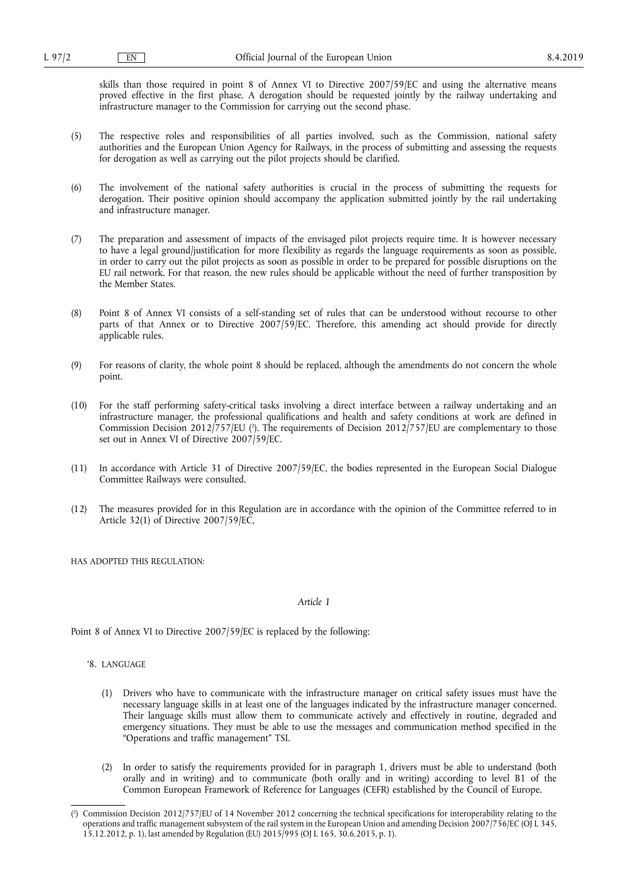skills than those required in point 8 of Annex VI to Directive 2007/59/EC and using the alternative means proved effective in the first phase. A derogation should be requested jointly by the railway undertaking and infrastructure manager to the Commission for carrying out the second phase.

- (5) The respective roles and responsibilities of all parties involved, such as the Commission, national safety authorities and the European Union Agency for Railways, in the process of submitting and assessing the requests for derogation as well as carrying out the pilot projects should be clarified.
- (6) The involvement of the national safety authorities is crucial in the process of submitting the requests for derogation. Their positive opinion should accompany the application submitted jointly by the rail undertaking and infrastructure manager.
- (7) The preparation and assessment of impacts of the envisaged pilot projects require time. It is however necessary to have a legal ground/justification for more flexibility as regards the language requirements as soon as possible, in order to carry out the pilot projects as soon as possible in order to be prepared for possible disruptions on the EU rail network. For that reason, the new rules should be applicable without the need of further transposition by the Member States.
- (8) Point 8 of Annex VI consists of a self-standing set of rules that can be understood without recourse to other parts of that Annex or to Directive 2007/59/EC. Therefore, this amending act should provide for directly applicable rules.
- (9) For reasons of clarity, the whole point 8 should be replaced, although the amendments do not concern the whole point.
- (10) For the staff performing safety-critical tasks involving a direct interface between a railway undertaking and an infrastructure manager, the professional qualifications and health and safety conditions at work are defined in Commission Decision  $2012/757/EU$  ( $\text{?}$ ). The requirements of Decision  $2012/757/EU$  are complementary to those set out in Annex VI of Directive 2007/59/EC.
- (11) In accordance with Article 31 of Directive 2007/59/EC, the bodies represented in the European Social Dialogue Committee Railways were consulted.
- (12) The measures provided for in this Regulation are in accordance with the opinion of the Committee referred to in Article 32(1) of Directive 2007/59/EC,

HAS ADOPTED THIS REGULATION:

#### *Article 1*

Point 8 of Annex VI to Directive 2007/59/EC is replaced by the following:

## '8. LANGUAGE

- (1) Drivers who have to communicate with the infrastructure manager on critical safety issues must have the necessary language skills in at least one of the languages indicated by the infrastructure manager concerned. Their language skills must allow them to communicate actively and effectively in routine, degraded and emergency situations. They must be able to use the messages and communication method specified in the "Operations and traffic management" TSI.
- (2) In order to satisfy the requirements provided for in paragraph 1, drivers must be able to understand (both orally and in writing) and to communicate (both orally and in writing) according to level B1 of the Common European Framework of Reference for Languages (CEFR) established by the Council of Europe.

<sup>(</sup> 2 ) Commission Decision 2012/757/EU of 14 November 2012 concerning the technical specifications for interoperability relating to the operations and traffic management subsystem of the rail system in the European Union and amending Decision 2007/756/EC (OJ L 345, 15.12.2012, p. 1), last amended by Regulation (EU) 2015/995 (OJ L 165, 30.6.2015, p. 1).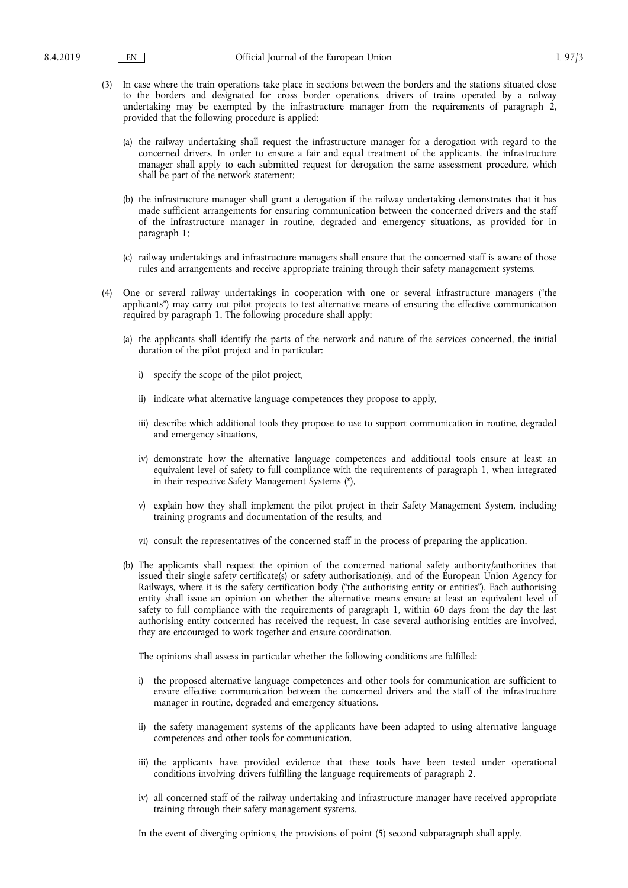- (3) In case where the train operations take place in sections between the borders and the stations situated close to the borders and designated for cross border operations, drivers of trains operated by a railway undertaking may be exempted by the infrastructure manager from the requirements of paragraph 2, provided that the following procedure is applied:
	- (a) the railway undertaking shall request the infrastructure manager for a derogation with regard to the concerned drivers. In order to ensure a fair and equal treatment of the applicants, the infrastructure manager shall apply to each submitted request for derogation the same assessment procedure, which shall be part of the network statement;
	- (b) the infrastructure manager shall grant a derogation if the railway undertaking demonstrates that it has made sufficient arrangements for ensuring communication between the concerned drivers and the staff of the infrastructure manager in routine, degraded and emergency situations, as provided for in paragraph 1;
	- (c) railway undertakings and infrastructure managers shall ensure that the concerned staff is aware of those rules and arrangements and receive appropriate training through their safety management systems.
- (4) One or several railway undertakings in cooperation with one or several infrastructure managers ("the applicants") may carry out pilot projects to test alternative means of ensuring the effective communication required by paragraph 1. The following procedure shall apply:
	- (a) the applicants shall identify the parts of the network and nature of the services concerned, the initial duration of the pilot project and in particular:
		- i) specify the scope of the pilot project,
		- ii) indicate what alternative language competences they propose to apply,
		- iii) describe which additional tools they propose to use to support communication in routine, degraded and emergency situations,
		- iv) demonstrate how the alternative language competences and additional tools ensure at least an equivalent level of safety to full compliance with the requirements of paragraph 1, when integrated in their respective Safety Management Systems (\*),
		- v) explain how they shall implement the pilot project in their Safety Management System, including training programs and documentation of the results, and
		- vi) consult the representatives of the concerned staff in the process of preparing the application.
	- (b) The applicants shall request the opinion of the concerned national safety authority/authorities that issued their single safety certificate(s) or safety authorisation(s), and of the European Union Agency for Railways, where it is the safety certification body ("the authorising entity or entities"). Each authorising entity shall issue an opinion on whether the alternative means ensure at least an equivalent level of safety to full compliance with the requirements of paragraph 1, within 60 days from the day the last authorising entity concerned has received the request. In case several authorising entities are involved, they are encouraged to work together and ensure coordination.

The opinions shall assess in particular whether the following conditions are fulfilled:

- i) the proposed alternative language competences and other tools for communication are sufficient to ensure effective communication between the concerned drivers and the staff of the infrastructure manager in routine, degraded and emergency situations.
- ii) the safety management systems of the applicants have been adapted to using alternative language competences and other tools for communication.
- iii) the applicants have provided evidence that these tools have been tested under operational conditions involving drivers fulfilling the language requirements of paragraph 2.
- iv) all concerned staff of the railway undertaking and infrastructure manager have received appropriate training through their safety management systems.

In the event of diverging opinions, the provisions of point (5) second subparagraph shall apply.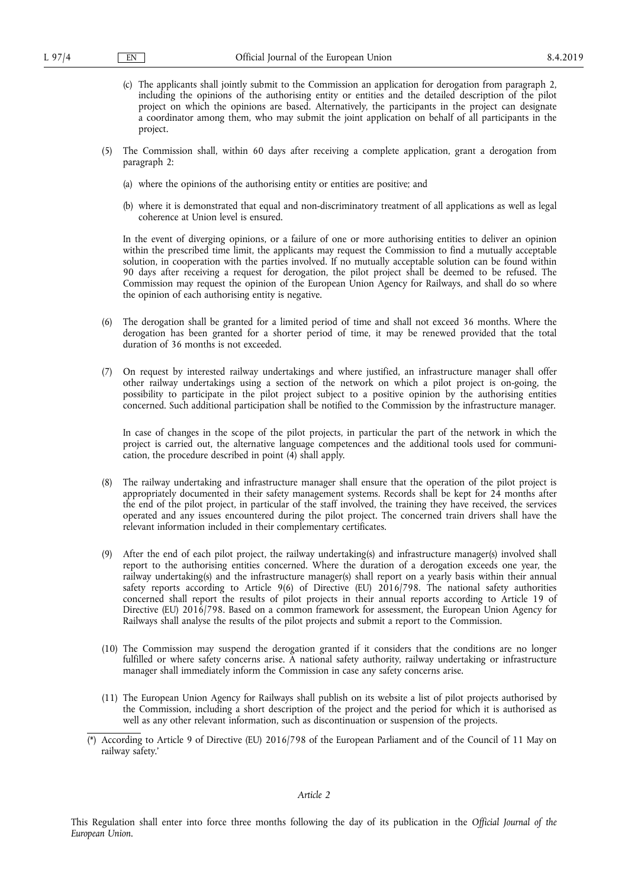- (c) The applicants shall jointly submit to the Commission an application for derogation from paragraph 2, including the opinions of the authorising entity or entities and the detailed description of the pilot project on which the opinions are based. Alternatively, the participants in the project can designate a coordinator among them, who may submit the joint application on behalf of all participants in the project.
- (5) The Commission shall, within 60 days after receiving a complete application, grant a derogation from paragraph 2:
	- (a) where the opinions of the authorising entity or entities are positive; and
	- (b) where it is demonstrated that equal and non-discriminatory treatment of all applications as well as legal coherence at Union level is ensured.

In the event of diverging opinions, or a failure of one or more authorising entities to deliver an opinion within the prescribed time limit, the applicants may request the Commission to find a mutually acceptable solution, in cooperation with the parties involved. If no mutually acceptable solution can be found within 90 days after receiving a request for derogation, the pilot project shall be deemed to be refused. The Commission may request the opinion of the European Union Agency for Railways, and shall do so where the opinion of each authorising entity is negative.

- (6) The derogation shall be granted for a limited period of time and shall not exceed 36 months. Where the derogation has been granted for a shorter period of time, it may be renewed provided that the total duration of 36 months is not exceeded.
- (7) On request by interested railway undertakings and where justified, an infrastructure manager shall offer other railway undertakings using a section of the network on which a pilot project is on-going, the possibility to participate in the pilot project subject to a positive opinion by the authorising entities concerned. Such additional participation shall be notified to the Commission by the infrastructure manager.

In case of changes in the scope of the pilot projects, in particular the part of the network in which the project is carried out, the alternative language competences and the additional tools used for communication, the procedure described in point (4) shall apply.

- (8) The railway undertaking and infrastructure manager shall ensure that the operation of the pilot project is appropriately documented in their safety management systems. Records shall be kept for 24 months after the end of the pilot project, in particular of the staff involved, the training they have received, the services operated and any issues encountered during the pilot project. The concerned train drivers shall have the relevant information included in their complementary certificates.
- (9) After the end of each pilot project, the railway undertaking(s) and infrastructure manager(s) involved shall report to the authorising entities concerned. Where the duration of a derogation exceeds one year, the railway undertaking(s) and the infrastructure manager(s) shall report on a yearly basis within their annual safety reports according to Article 9(6) of Directive (EU) 2016/798. The national safety authorities concerned shall report the results of pilot projects in their annual reports according to Article 19 of Directive (EU) 2016/798. Based on a common framework for assessment, the European Union Agency for Railways shall analyse the results of the pilot projects and submit a report to the Commission.
- (10) The Commission may suspend the derogation granted if it considers that the conditions are no longer fulfilled or where safety concerns arise. A national safety authority, railway undertaking or infrastructure manager shall immediately inform the Commission in case any safety concerns arise.
- (11) The European Union Agency for Railways shall publish on its website a list of pilot projects authorised by the Commission, including a short description of the project and the period for which it is authorised as well as any other relevant information, such as discontinuation or suspension of the projects.
- (\*) According to Article 9 of Directive (EU) 2016/798 of the European Parliament and of the Council of 11 May on railway safety.'

# *Article 2*

This Regulation shall enter into force three months following the day of its publication in the *Official Journal of the European Union*.